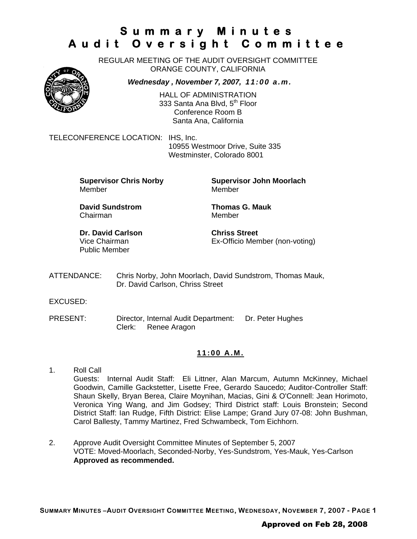REGULAR MEETING OF THE AUDIT OVERSIGHT COMMITTEE ORANGE COUNTY, CALIFORNIA

*Wednesday , November 7, 2007, 11:00 a.m.*



HALL OF ADMINISTRATION 333 Santa Ana Blvd, 5<sup>th</sup> Floor Conference Room B Santa Ana, California

TELECONFERENCE LOCATION: IHS, Inc.

10955 Westmoor Drive, Suite 335 Westminster, Colorado 8001

Member Member

**Supervisor Chris Norby Supervisor John Moorlach**

**David Sundstrom Thomas G. Mauk**  Chairman Member

**Dr. David Carlson Chriss Street** Public Member

Vice Chairman Ex-Officio Member (non-voting)

ATTENDANCE: Chris Norby, John Moorlach, David Sundstrom, Thomas Mauk, Dr. David Carlson, Chriss Street

EXCUSED:

PRESENT: Director, Internal Audit Department: Dr. Peter Hughes Clerk: Renee Aragon

#### **11:00 A.M.**

- 1. Roll Call Guests: Internal Audit Staff: Eli Littner, Alan Marcum, Autumn McKinney, Michael Goodwin, Camille Gackstetter, Lisette Free, Gerardo Saucedo; Auditor-Controller Staff: Shaun Skelly, Bryan Berea, Claire Moynihan, Macias, Gini & O'Connell: Jean Horimoto, Veronica Ying Wang, and Jim Godsey; Third District staff: Louis Bronstein; Second District Staff: Ian Rudge, Fifth District: Elise Lampe; Grand Jury 07-08: John Bushman, Carol Ballesty, Tammy Martinez, Fred Schwambeck, Tom Eichhorn.
- 2. Approve Audit Oversight Committee Minutes of September 5, 2007 VOTE: Moved-Moorlach, Seconded-Norby, Yes-Sundstrom, Yes-Mauk, Yes-Carlson **Approved as recommended.**

### Approved on Feb 28, 2008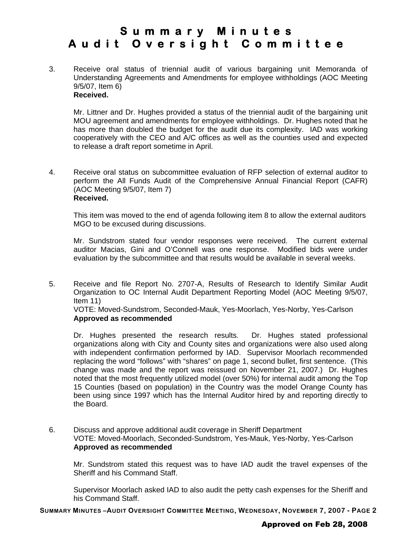3. Receive oral status of triennial audit of various bargaining unit Memoranda of Understanding Agreements and Amendments for employee withholdings (AOC Meeting 9/5/07, Item 6) **Received.** 

Mr. Littner and Dr. Hughes provided a status of the triennial audit of the bargaining unit MOU agreement and amendments for employee withholdings. Dr. Hughes noted that he has more than doubled the budget for the audit due its complexity. IAD was working cooperatively with the CEO and A/C offices as well as the counties used and expected to release a draft report sometime in April.

4. Receive oral status on subcommittee evaluation of RFP selection of external auditor to perform the All Funds Audit of the Comprehensive Annual Financial Report (CAFR) (AOC Meeting 9/5/07, Item 7) **Received.**

This item was moved to the end of agenda following item 8 to allow the external auditors MGO to be excused during discussions.

Mr. Sundstrom stated four vendor responses were received. The current external auditor Macias, Gini and O'Connell was one response. Modified bids were under evaluation by the subcommittee and that results would be available in several weeks.

5. Receive and file Report No. 2707-A, Results of Research to Identify Similar Audit Organization to OC Internal Audit Department Reporting Model (AOC Meeting 9/5/07, Item 11)

VOTE: Moved-Sundstrom, Seconded-Mauk, Yes-Moorlach, Yes-Norby, Yes-Carlson **Approved as recommended**

Dr. Hughes presented the research results. Dr. Hughes stated professional organizations along with City and County sites and organizations were also used along with independent confirmation performed by IAD. Supervisor Moorlach recommended replacing the word "follows" with "shares" on page 1, second bullet, first sentence. (This change was made and the report was reissued on November 21, 2007.) Dr. Hughes noted that the most frequently utilized model (over 50%) for internal audit among the Top 15 Counties (based on population) in the Country was the model Orange County has been using since 1997 which has the Internal Auditor hired by and reporting directly to the Board.

6. Discuss and approve additional audit coverage in Sheriff Department VOTE: Moved-Moorlach, Seconded-Sundstrom, Yes-Mauk, Yes-Norby, Yes-Carlson **Approved as recommended**

Mr. Sundstrom stated this request was to have IAD audit the travel expenses of the Sheriff and his Command Staff.

Supervisor Moorlach asked IAD to also audit the petty cash expenses for the Sheriff and his Command Staff.

**SUMMARY MINUTES –AUDIT OVERSIGHT COMMITTEE MEETING, WEDNESDAY, NOVEMBER 7, 2007 - PAGE 2**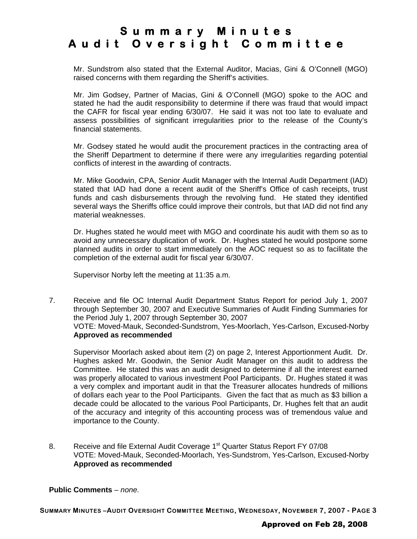Mr. Sundstrom also stated that the External Auditor, Macias, Gini & O'Connell (MGO) raised concerns with them regarding the Sheriff's activities.

Mr. Jim Godsey, Partner of Macias, Gini & O'Connell (MGO) spoke to the AOC and stated he had the audit responsibility to determine if there was fraud that would impact the CAFR for fiscal year ending 6/30/07. He said it was not too late to evaluate and assess possibilities of significant irregularities prior to the release of the County's financial statements.

Mr. Godsey stated he would audit the procurement practices in the contracting area of the Sheriff Department to determine if there were any irregularities regarding potential conflicts of interest in the awarding of contracts.

Mr. Mike Goodwin, CPA, Senior Audit Manager with the Internal Audit Department (IAD) stated that IAD had done a recent audit of the Sheriff's Office of cash receipts, trust funds and cash disbursements through the revolving fund. He stated they identified several ways the Sheriffs office could improve their controls, but that IAD did not find any material weaknesses.

Dr. Hughes stated he would meet with MGO and coordinate his audit with them so as to avoid any unnecessary duplication of work. Dr. Hughes stated he would postpone some planned audits in order to start immediately on the AOC request so as to facilitate the completion of the external audit for fiscal year 6/30/07.

Supervisor Norby left the meeting at 11:35 a.m.

7. Receive and file OC Internal Audit Department Status Report for period July 1, 2007 through September 30, 2007 and Executive Summaries of Audit Finding Summaries for the Period July 1, 2007 through September 30, 2007 VOTE: Moved-Mauk, Seconded-Sundstrom, Yes-Moorlach, Yes-Carlson, Excused-Norby **Approved as recommended**

 Supervisor Moorlach asked about item (2) on page 2, Interest Apportionment Audit. Dr. Hughes asked Mr. Goodwin, the Senior Audit Manager on this audit to address the Committee. He stated this was an audit designed to determine if all the interest earned was properly allocated to various investment Pool Participants. Dr. Hughes stated it was a very complex and important audit in that the Treasurer allocates hundreds of millions of dollars each year to the Pool Participants. Given the fact that as much as \$3 billion a decade could be allocated to the various Pool Participants, Dr. Hughes felt that an audit of the accuracy and integrity of this accounting process was of tremendous value and importance to the County.

8. Receive and file External Audit Coverage 1<sup>st</sup> Quarter Status Report FY 07/08 VOTE: Moved-Mauk, Seconded-Moorlach, Yes-Sundstrom, Yes-Carlson, Excused-Norby **Approved as recommended**

#### **Public Comments** – *none.*

**SUMMARY MINUTES –AUDIT OVERSIGHT COMMITTEE MEETING, WEDNESDAY, NOVEMBER 7, 2007 - PAGE 3** 

#### Approved on Feb 28, 2008